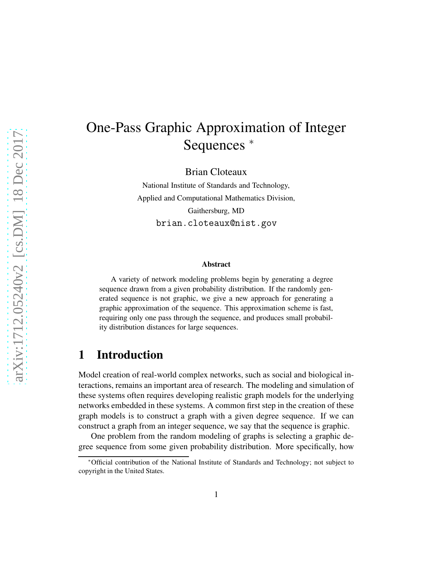# One-Pass Graphic Approximation of Integer Sequences <sup>∗</sup>

Brian Cloteaux

National Institute of Standards and Technology, Applied and Computational Mathematics Division, Gaithersburg, MD brian.cloteaux@nist.gov

#### Abstract

A variety of network modeling problems begin by generating a degree sequence drawn from a given probability distribution. If the randomly generated sequence is not graphic, we give a new approach for generating a graphic approximation of the sequence. This approximation scheme is fast, requiring only one pass through the sequence, and produces small probability distribution distances for large sequences.

#### 1 Introduction

Model creation of real-world complex networks, such as social and biological interactions, remains an important area of research. The modeling and simulation of these systems often requires developing realistic graph models for the underlying networks embedded in these systems. A common first step in the creation of these graph models is to construct a graph with a given degree sequence. If we can construct a graph from an integer sequence, we say that the sequence is graphic.

One problem from the random modeling of graphs is selecting a graphic degree sequence from some given probability distribution. More specifically, how

<sup>∗</sup>Official contribution of the National Institute of Standards and Technology; not subject to copyright in the United States.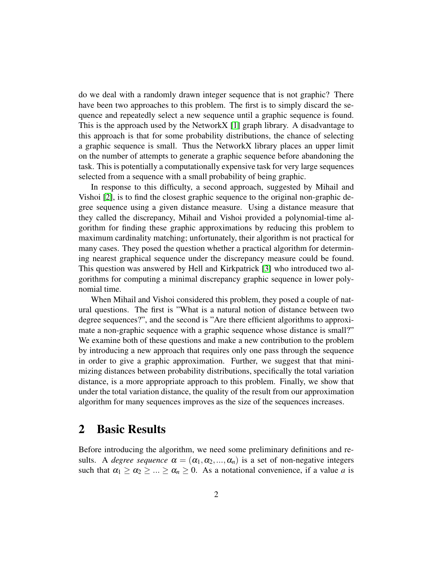do we deal with a randomly drawn integer sequence that is not graphic? There have been two approaches to this problem. The first is to simply discard the sequence and repeatedly select a new sequence until a graphic sequence is found. This is the approach used by the NetworkX [\[1\]](#page-8-0) graph library. A disadvantage to this approach is that for some probability distributions, the chance of selecting a graphic sequence is small. Thus the NetworkX library places an upper limit on the number of attempts to generate a graphic sequence before abandoning the task. This is potentially a computationally expensive task for very large sequences selected from a sequence with a small probability of being graphic.

In response to this difficulty, a second approach, suggested by Mihail and Vishoi [\[2\]](#page-8-1), is to find the closest graphic sequence to the original non-graphic degree sequence using a given distance measure. Using a distance measure that they called the discrepancy, Mihail and Vishoi provided a polynomial-time algorithm for finding these graphic approximations by reducing this problem to maximum cardinality matching; unfortunately, their algorithm is not practical for many cases. They posed the question whether a practical algorithm for determining nearest graphical sequence under the discrepancy measure could be found. This question was answered by Hell and Kirkpatrick [\[3\]](#page-9-0) who introduced two algorithms for computing a minimal discrepancy graphic sequence in lower polynomial time.

When Mihail and Vishoi considered this problem, they posed a couple of natural questions. The first is "What is a natural notion of distance between two degree sequences?", and the second is "Are there efficient algorithms to approximate a non-graphic sequence with a graphic sequence whose distance is small?" We examine both of these questions and make a new contribution to the problem by introducing a new approach that requires only one pass through the sequence in order to give a graphic approximation. Further, we suggest that that minimizing distances between probability distributions, specifically the total variation distance, is a more appropriate approach to this problem. Finally, we show that under the total variation distance, the quality of the result from our approximation algorithm for many sequences improves as the size of the sequences increases.

## 2 Basic Results

Before introducing the algorithm, we need some preliminary definitions and results. A *degree sequence*  $\alpha = (\alpha_1, \alpha_2, ..., \alpha_n)$  is a set of non-negative integers such that  $\alpha_1 \geq \alpha_2 \geq ... \geq \alpha_n \geq 0$ . As a notational convenience, if a value *a* is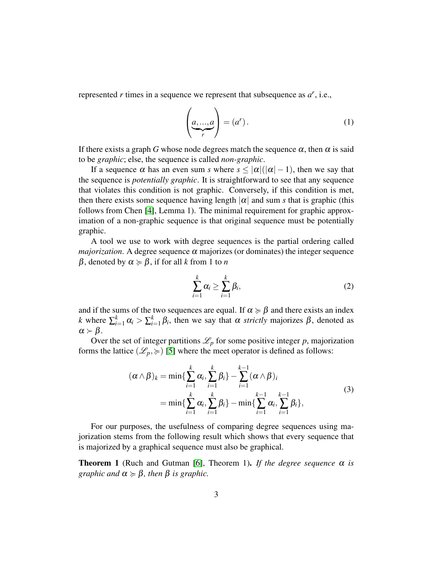represented *r* times in a sequence we represent that subsequence as *a r* , i.e.,

$$
\left(\underbrace{a,\ldots,a}_{r}\right) = (a^r). \tag{1}
$$

If there exists a graph *G* whose node degrees match the sequence  $\alpha$ , then  $\alpha$  is said to be *graphic*; else, the sequence is called *non-graphic*.

If a sequence  $\alpha$  has an even sum *s* where  $s < |\alpha|(|\alpha|-1)$ , then we say that the sequence is *potentially graphic*. It is straightforward to see that any sequence that violates this condition is not graphic. Conversely, if this condition is met, then there exists some sequence having length  $|\alpha|$  and sum *s* that is graphic (this follows from Chen [\[4\]](#page-9-1), Lemma 1). The minimal requirement for graphic approximation of a non-graphic sequence is that original sequence must be potentially graphic.

A tool we use to work with degree sequences is the partial ordering called *majorization*. A degree sequence  $\alpha$  majorizes (or dominates) the integer sequence β, denoted by <sup>α</sup> < β, if for all *k* from 1 to *n*

$$
\sum_{i=1}^k \alpha_i \ge \sum_{i=1}^k \beta_i,\tag{2}
$$

and if the sums of the two sequences are equal. If  $\alpha \succcurlyeq \beta$  and there exists an index *k* where  $\sum_{i=1}^{k} \alpha_i > \sum_{i=1}^{k}$  $E_{i=1}^{k} \beta_i$ , then we say that  $\alpha$  *strictly* majorizes  $\beta$ , denoted as  $\alpha \succ \beta$ .

Over the set of integer partitions  $\mathcal{L}_p$  for some positive integer p, majorization forms the lattice  $(\mathcal{L}_p, \geq)$  [\[5\]](#page-9-2) where the meet operator is defined as follows:

$$
(\alpha \wedge \beta)_k = \min \{ \sum_{i=1}^k \alpha_i, \sum_{i=1}^k \beta_i \} - \sum_{i=1}^{k-1} (\alpha \wedge \beta)_i
$$
  
= 
$$
\min \{ \sum_{i=1}^k \alpha_i, \sum_{i=1}^k \beta_i \} - \min \{ \sum_{i=1}^{k-1} \alpha_i, \sum_{i=1}^{k-1} \beta_i \},
$$
 (3)

For our purposes, the usefulness of comparing degree sequences using majorization stems from the following result which shows that every sequence that is majorized by a graphical sequence must also be graphical.

<span id="page-2-0"></span>**Theorem 1** (Ruch and Gutman [\[6\]](#page-9-3), Theorem 1). If the degree sequence  $\alpha$  is *graphic and*  $\alpha \geq \beta$ *, then*  $\beta$  *is graphic.*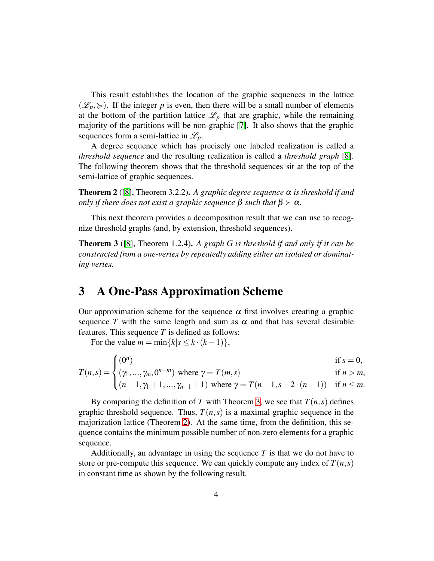This result establishes the location of the graphic sequences in the lattice  $(\mathscr{L}_p, \succcurlyeq)$ . If the integer p is even, then there will be a small number of elements at the bottom of the partition lattice  $\mathcal{L}_p$  that are graphic, while the remaining majority of the partitions will be non-graphic [\[7\]](#page-9-4). It also shows that the graphic sequences form a semi-lattice in  $\mathscr{L}_p$ .

A degree sequence which has precisely one labeled realization is called a *threshold sequence* and the resulting realization is called a *threshold graph* [\[8\]](#page-9-5). The following theorem shows that the threshold sequences sit at the top of the semi-lattice of graphic sequences.

<span id="page-3-1"></span>**Theorem 2** ([\[8\]](#page-9-5), Theorem 3.2.2). A graphic degree sequence  $\alpha$  is threshold if and *only if there does not exist a graphic sequence*  $\beta$  *such that*  $\beta \succ \alpha$ *.* 

This next theorem provides a decomposition result that we can use to recognize threshold graphs (and, by extension, threshold sequences).

<span id="page-3-0"></span>Theorem 3 ([\[8\]](#page-9-5), Theorem 1.2.4). *A graph G is threshold if and only if it can be constructed from a one-vertex by repeatedly adding either an isolated or dominating vertex.*

#### 3 A One-Pass Approximation Scheme

Our approximation scheme for the sequence  $\alpha$  first involves creating a graphic sequence T with the same length and sum as  $\alpha$  and that has several desirable features. This sequence *T* is defined as follows:

For the value  $m = \min\{k | s \le k \cdot (k-1)\},$ 

$$
T(n,s) = \begin{cases} (0^n) & \text{if } s = 0, \\ (\gamma_1, ..., \gamma_m, 0^{n-m}) \text{ where } \gamma = T(m,s) & \text{if } n > m, \\ (n-1, \gamma_1 + 1, ..., \gamma_{n-1} + 1) \text{ where } \gamma = T(n-1, s-2 \cdot (n-1)) & \text{if } n \leq m. \end{cases}
$$

By comparing the definition of *T* with Theorem [3,](#page-3-0) we see that  $T(n, s)$  defines graphic threshold sequence. Thus,  $T(n, s)$  is a maximal graphic sequence in the majorization lattice (Theorem [2\)](#page-3-1). At the same time, from the definition, this sequence contains the minimum possible number of non-zero elements for a graphic sequence.

Additionally, an advantage in using the sequence *T* is that we do not have to store or pre-compute this sequence. We can quickly compute any index of  $T(n, s)$ in constant time as shown by the following result.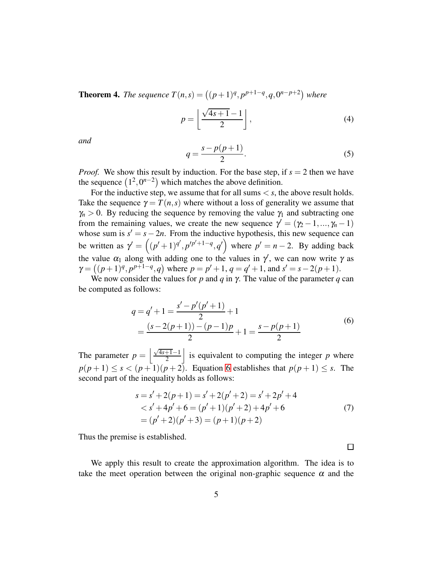<span id="page-4-1"></span>**Theorem 4.** The sequence  $T(n,s) = ((p+1)^q, p^{p+1-q}, q, 0^{n-p+2})$  where

$$
p = \left\lfloor \frac{\sqrt{4s+1} - 1}{2} \right\rfloor, \tag{4}
$$

*and*

$$
q = \frac{s - p(p+1)}{2}.\tag{5}
$$

*Proof.* We show this result by induction. For the base step, if  $s = 2$  then we have the sequence  $(1^2, 0^{n-2})$  which matches the above definition.

For the inductive step, we assume that for all sums  $\lt s$ , the above result holds. Take the sequence  $\gamma = T(n,s)$  where without a loss of generality we assume that  $\gamma_n > 0$ . By reducing the sequence by removing the value  $\gamma_1$  and subtracting one from the remaining values, we create the new sequence  $\gamma' = (\gamma_2 - 1, ..., \gamma_n - 1)$ whose sum is  $s' = s - 2n$ . From the inductive hypothesis, this new sequence can be written as  $\gamma' = ((p'+1)^{q'}, p'^{p'+1-q}, q')$  where  $p' = n-2$ . By adding back the value  $\alpha_1$  along with adding one to the values in  $\gamma'$ , we can now write  $\gamma$  as  $\gamma = ((p+1)^q, p^{p+1-q}, q)$  where  $p = p' + 1, q = q' + 1$ , and  $s' = s - 2(p+1)$ . We now consider the values for *p* and *q* in γ. The value of the parameter *q* can

be computed as follows:

$$
q = q' + 1 = \frac{s' - p'(p' + 1)}{2} + 1
$$
  
= 
$$
\frac{(s - 2(p + 1)) - (p - 1)p}{2} + 1 = \frac{s - p(p + 1)}{2}
$$
 (6)

<span id="page-4-0"></span>The parameter  $p = \left\lfloor \frac{\sqrt{4s+1}-1}{2} \right\rfloor$ is equivalent to computing the integer  $p$  where  $p(p+1) \leq s < (p+1)(p+2)$ . Equation [6](#page-4-0) establishes that  $p(p+1) \leq s$ . The second part of the inequality holds as follows:

$$
s = s' + 2(p+1) = s' + 2(p'+2) = s' + 2p' + 4
$$
  

$$
< s' + 4p' + 6 = (p'+1)(p'+2) + 4p' + 6
$$
  

$$
= (p'+2)(p'+3) = (p+1)(p+2)
$$
 (7)

 $\Box$ 

Thus the premise is established.

We apply this result to create the approximation algorithm. The idea is to take the meet operation between the original non-graphic sequence  $\alpha$  and the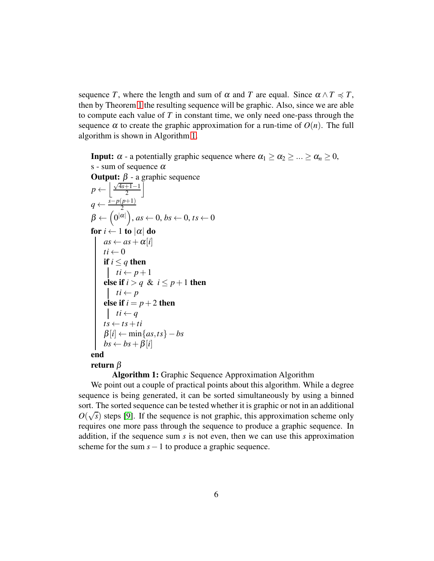sequence *T*, where the length and sum of  $\alpha$  and *T* are equal. Since  $\alpha \wedge T \preccurlyeq T$ , then by Theorem [1](#page-2-0) the resulting sequence will be graphic. Also, since we are able to compute each value of *T* in constant time, we only need one-pass through the sequence  $\alpha$  to create the graphic approximation for a run-time of  $O(n)$ . The full algorithm is shown in Algorithm [1.](#page-5-0)

**Input:**  $\alpha$  - a potentially graphic sequence where  $\alpha_1 \geq \alpha_2 \geq ... \geq \alpha_n \geq 0$ , s - sum of sequence  $\alpha$ **Output:**  $β$  - a graphic sequence  $p \leftarrow \left\lfloor \frac{\sqrt{4s+1}-1}{2} \right\rfloor$  $\overline{\phantom{a}}$  $q \leftarrow \frac{s-p(p+1)}{2}$  $\beta \leftarrow \left(0^{|\alpha|}\right)$ , as  $\leftarrow 0$ , bs  $\leftarrow 0$ , ts  $\leftarrow 0$ for  $i \leftarrow 1$  to  $|\alpha|$  do  $as \leftarrow as + \alpha[i]$ <br> $ti \leftarrow 0$  $t_i \leftarrow 0$ if  $i \leq q$  then  $t i \leftarrow p+1$ else if  $i > q \& i \leq p+1$  then  $t i \leftarrow p$ else if  $i = p + 2$  then  $t i \leftarrow q$  $ts \leftarrow ts + ti$  $\beta[i] \leftarrow \min\{as, ts\} - bs$  $bs \leftarrow bs + \beta[i]$ end return β

#### <span id="page-5-0"></span>Algorithm 1: Graphic Sequence Approximation Algorithm

We point out a couple of practical points about this algorithm. While a degree sequence is being generated, it can be sorted simultaneously by using a binned sort. The sorted sequence can be tested whether it is graphic or not in an additional  $O(\sqrt{s})$  steps [\[9\]](#page-9-6). If the sequence is not graphic, this approximation scheme only requires one more pass through the sequence to produce a graphic sequence. In addition, if the sequence sum *s* is not even, then we can use this approximation scheme for the sum  $s-1$  to produce a graphic sequence.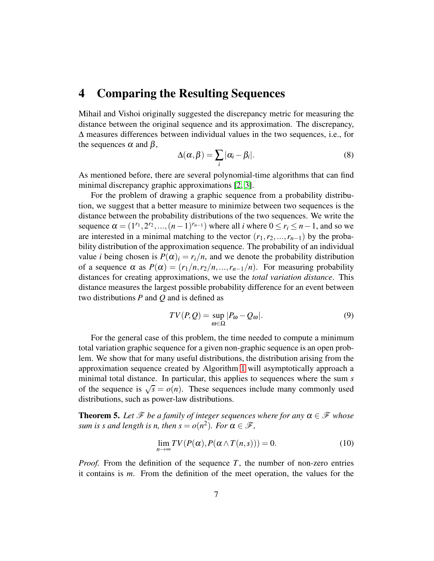#### 4 Comparing the Resulting Sequences

Mihail and Vishoi originally suggested the discrepancy metric for measuring the distance between the original sequence and its approximation. The discrepancy, ∆ measures differences between individual values in the two sequences, i.e., for the sequences  $\alpha$  and  $\beta$ ,

$$
\Delta(\alpha, \beta) = \sum_{i} |\alpha_i - \beta_i|.
$$
 (8)

As mentioned before, there are several polynomial-time algorithms that can find minimal discrepancy graphic approximations [\[2,](#page-8-1) [3\]](#page-9-0).

For the problem of drawing a graphic sequence from a probability distribution, we suggest that a better measure to minimize between two sequences is the distance between the probability distributions of the two sequences. We write the sequence  $\alpha = (1^{r_1}, 2^{r_2}, ..., (n-1)^{r_{n-1}})$  where all *i* where  $0 \le r_i \le n-1$ , and so we are interested in a minimal matching to the vector  $(r_1, r_2, ..., r_{n-1})$  by the probability distribution of the approximation sequence. The probability of an individual value *i* being chosen is  $P(\alpha)_i = r_i/n$ , and we denote the probability distribution of a sequence  $\alpha$  as  $P(\alpha) = (r_1/n, r_2/n, ..., r_{n-1}/n)$ . For measuring probability distances for creating approximations, we use the *total variation distance*. This distance measures the largest possible probability difference for an event between two distributions *P* and *Q* and is defined as

$$
TV(P,Q) = \sup_{\omega \in \Omega} |P_{\omega} - Q_{\omega}|. \tag{9}
$$

For the general case of this problem, the time needed to compute a minimum total variation graphic sequence for a given non-graphic sequence is an open problem. We show that for many useful distributions, the distribution arising from the approximation sequence created by Algorithm [1](#page-5-0) will asymptotically approach a minimal total distance. In particular, this applies to sequences where the sum *s* of the sequence is  $\sqrt{s} = o(n)$ . These sequences include many commonly used distributions, such as power-law distributions.

**Theorem 5.** Let  $\mathcal{F}$  be a family of integer sequences where for any  $\alpha \in \mathcal{F}$  whose *sum is s and length is n, then*  $s = o(n^2)$ *. For*  $\alpha \in \mathcal{F}$ ,

$$
\lim_{n \to \infty} TV(P(\alpha), P(\alpha \wedge T(n, s))) = 0.
$$
\n(10)

*Proof.* From the definition of the sequence *T*, the number of non-zero entries it contains is *m*. From the definition of the meet operation, the values for the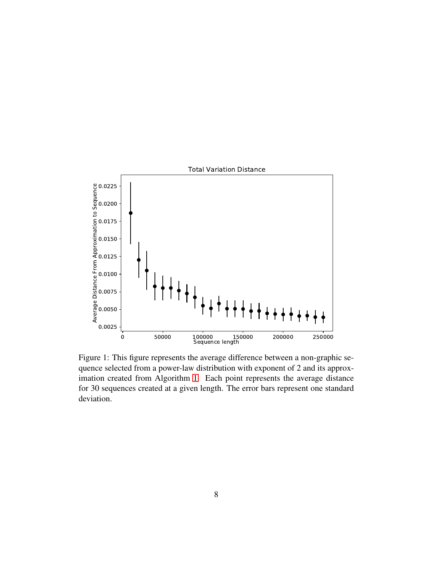<span id="page-7-0"></span>

Figure 1: This figure represents the average difference between a non-graphic sequence selected from a power-law distribution with exponent of 2 and its approximation created from Algorithm [1.](#page-5-0) Each point represents the average distance for 30 sequences created at a given length. The error bars represent one standard deviation.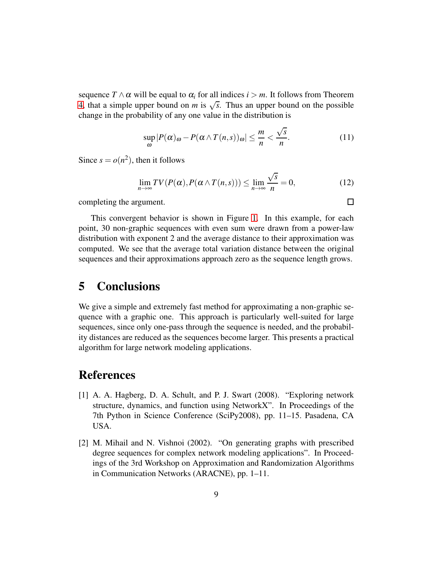sequence  $T \wedge \alpha$  will be equal to  $\alpha_i$  for all indices  $i > m$ . It follows from Theorem [4,](#page-4-1) that a simple upper bound on *m* is  $\sqrt{s}$ . Thus an upper bound on the possible change in the probability of any one value in the distribution is

$$
\sup_{\omega} |P(\alpha)_{\omega} - P(\alpha \wedge T(n,s))_{\omega}| \leq \frac{m}{n} < \frac{\sqrt{s}}{n}.
$$
 (11)

Since  $s = o(n^2)$ , then it follows

$$
\lim_{n \to \infty} TV(P(\alpha), P(\alpha \wedge T(n, s))) \le \lim_{n \to \infty} \frac{\sqrt{s}}{n} = 0,
$$
\n(12)

 $\Box$ 

completing the argument.

This convergent behavior is shown in Figure [1.](#page-7-0) In this example, for each point, 30 non-graphic sequences with even sum were drawn from a power-law distribution with exponent 2 and the average distance to their approximation was computed. We see that the average total variation distance between the original sequences and their approximations approach zero as the sequence length grows.

#### 5 Conclusions

We give a simple and extremely fast method for approximating a non-graphic sequence with a graphic one. This approach is particularly well-suited for large sequences, since only one-pass through the sequence is needed, and the probability distances are reduced as the sequences become larger. This presents a practical algorithm for large network modeling applications.

## <span id="page-8-0"></span>References

- [1] A. A. Hagberg, D. A. Schult, and P. J. Swart (2008). "Exploring network structure, dynamics, and function using NetworkX". In Proceedings of the 7th Python in Science Conference (SciPy2008), pp. 11–15. Pasadena, CA USA.
- <span id="page-8-1"></span>[2] M. Mihail and N. Vishnoi (2002). "On generating graphs with prescribed degree sequences for complex network modeling applications". In Proceedings of the 3rd Workshop on Approximation and Randomization Algorithms in Communication Networks (ARACNE), pp. 1–11.